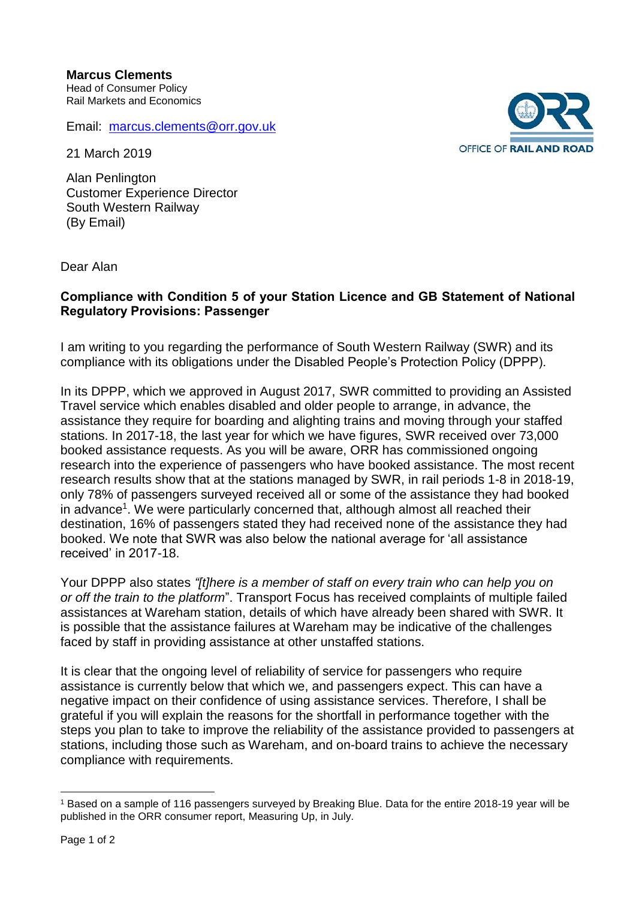Email: [marcus.clements@orr.gov.uk](mailto:marcus.clements@orr.gov.uk)

21 March 2019

Alan Penlington Customer Experience Director South Western Railway (By Email)

Dear Alan

## **Compliance with Condition 5 of your Station Licence and GB Statement of National Regulatory Provisions: Passenger**

I am writing to you regarding the performance of South Western Railway (SWR) and its compliance with its obligations under the Disabled People's Protection Policy (DPPP).

In its DPPP, which we approved in August 2017, SWR committed to providing an Assisted Travel service which enables disabled and older people to arrange, in advance, the assistance they require for boarding and alighting trains and moving through your staffed stations. In 2017-18, the last year for which we have figures, SWR received over 73,000 booked assistance requests. As you will be aware, ORR has commissioned ongoing research into the experience of passengers who have booked assistance. The most recent research results show that at the stations managed by SWR, in rail periods 1-8 in 2018-19, only 78% of passengers surveyed received all or some of the assistance they had booked in advance<sup>1</sup>. We were particularly concerned that, although almost all reached their destination, 16% of passengers stated they had received none of the assistance they had booked. We note that SWR was also below the national average for 'all assistance received' in 2017-18.

Your DPPP also states *"[t]here is a member of staff on every train who can help you on or off the train to the platform*". Transport Focus has received complaints of multiple failed assistances at Wareham station, details of which have already been shared with SWR. It is possible that the assistance failures at Wareham may be indicative of the challenges faced by staff in providing assistance at other unstaffed stations.

It is clear that the ongoing level of reliability of service for passengers who require assistance is currently below that which we, and passengers expect. This can have a negative impact on their confidence of using assistance services. Therefore, I shall be grateful if you will explain the reasons for the shortfall in performance together with the steps you plan to take to improve the reliability of the assistance provided to passengers at stations, including those such as Wareham, and on-board trains to achieve the necessary compliance with requirements.



<sup>1</sup> <sup>1</sup> Based on a sample of 116 passengers surveyed by Breaking Blue. Data for the entire 2018-19 year will be published in the ORR consumer report, Measuring Up, in July.